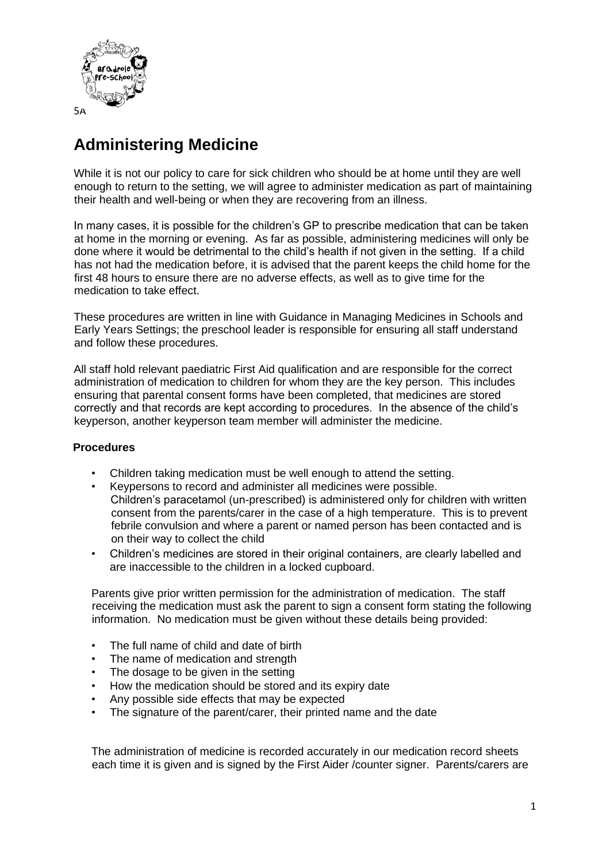

# **Administering Medicine**

While it is not our policy to care for sick children who should be at home until they are well enough to return to the setting, we will agree to administer medication as part of maintaining their health and well-being or when they are recovering from an illness.

In many cases, it is possible for the children's GP to prescribe medication that can be taken at home in the morning or evening. As far as possible, administering medicines will only be done where it would be detrimental to the child's health if not given in the setting. If a child has not had the medication before, it is advised that the parent keeps the child home for the first 48 hours to ensure there are no adverse effects, as well as to give time for the medication to take effect.

These procedures are written in line with Guidance in Managing Medicines in Schools and Early Years Settings; the preschool leader is responsible for ensuring all staff understand and follow these procedures.

All staff hold relevant paediatric First Aid qualification and are responsible for the correct administration of medication to children for whom they are the key person. This includes ensuring that parental consent forms have been completed, that medicines are stored correctly and that records are kept according to procedures. In the absence of the child's keyperson, another keyperson team member will administer the medicine.

## **Procedures**

- Children taking medication must be well enough to attend the setting.
- Keypersons to record and administer all medicines were possible. Children's paracetamol (un-prescribed) is administered only for children with written consent from the parents/carer in the case of a high temperature. This is to prevent febrile convulsion and where a parent or named person has been contacted and is on their way to collect the child
- Children's medicines are stored in their original containers, are clearly labelled and are inaccessible to the children in a locked cupboard.

Parents give prior written permission for the administration of medication. The staff receiving the medication must ask the parent to sign a consent form stating the following information. No medication must be given without these details being provided:

- The full name of child and date of birth
- The name of medication and strength
- The dosage to be given in the setting
- How the medication should be stored and its expiry date
- Any possible side effects that may be expected
- The signature of the parent/carer, their printed name and the date

The administration of medicine is recorded accurately in our medication record sheets each time it is given and is signed by the First Aider /counter signer. Parents/carers are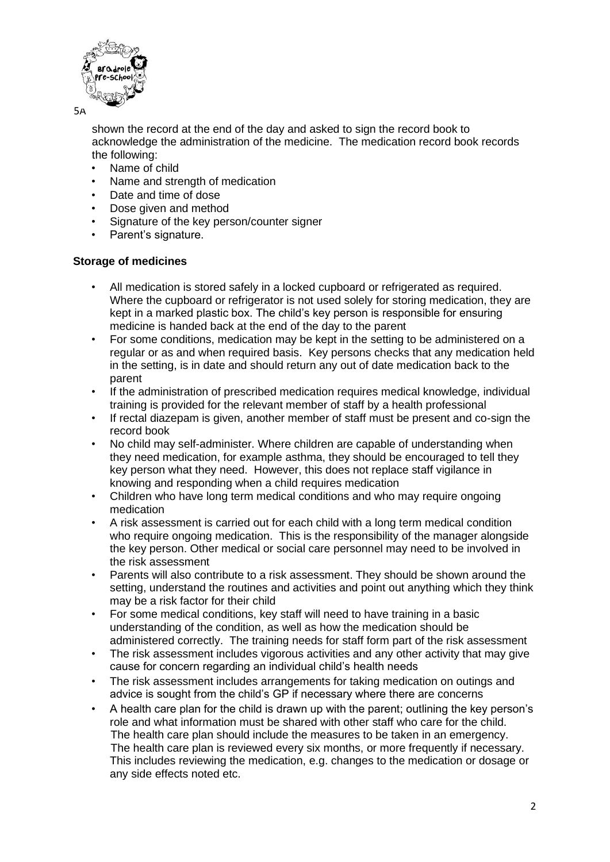

5A

shown the record at the end of the day and asked to sign the record book to acknowledge the administration of the medicine. The medication record book records the following:

- Name of child
- Name and strength of medication
- Date and time of dose
- Dose given and method
- Signature of the key person/counter signer
- Parent's signature.

#### **Storage of medicines**

- All medication is stored safely in a locked cupboard or refrigerated as required. Where the cupboard or refrigerator is not used solely for storing medication, they are kept in a marked plastic box. The child's key person is responsible for ensuring medicine is handed back at the end of the day to the parent
- For some conditions, medication may be kept in the setting to be administered on a regular or as and when required basis. Key persons checks that any medication held in the setting, is in date and should return any out of date medication back to the parent
- If the administration of prescribed medication requires medical knowledge, individual training is provided for the relevant member of staff by a health professional
- If rectal diazepam is given, another member of staff must be present and co-sign the record book
- No child may self-administer. Where children are capable of understanding when they need medication, for example asthma, they should be encouraged to tell they key person what they need. However, this does not replace staff vigilance in knowing and responding when a child requires medication
- Children who have long term medical conditions and who may require ongoing medication
- A risk assessment is carried out for each child with a long term medical condition who require ongoing medication. This is the responsibility of the manager alongside the key person. Other medical or social care personnel may need to be involved in the risk assessment
- Parents will also contribute to a risk assessment. They should be shown around the setting, understand the routines and activities and point out anything which they think may be a risk factor for their child
- For some medical conditions, key staff will need to have training in a basic understanding of the condition, as well as how the medication should be administered correctly. The training needs for staff form part of the risk assessment
- The risk assessment includes vigorous activities and any other activity that may give cause for concern regarding an individual child's health needs
- The risk assessment includes arrangements for taking medication on outings and advice is sought from the child's GP if necessary where there are concerns
- A health care plan for the child is drawn up with the parent; outlining the key person's role and what information must be shared with other staff who care for the child. The health care plan should include the measures to be taken in an emergency. The health care plan is reviewed every six months, or more frequently if necessary. This includes reviewing the medication, e.g. changes to the medication or dosage or any side effects noted etc.